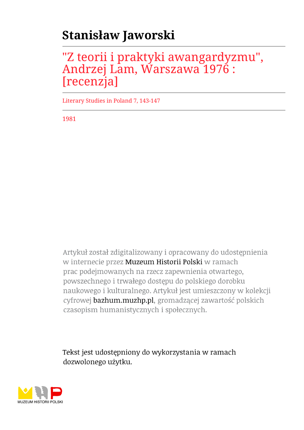## **Stanisław Jaworski**

## "Z teorii i praktyki awangardyzmu", Andrzej Lam, Warszawa 1976 : [recenzja]

Literary Studies in Poland 7, 143-147

1981

Artykuł został zdigitalizowany i opracowany do udostępnienia w internecie przez Muzeum Historii Polski w ramach prac podejmowanych na rzecz zapewnienia otwartego, powszechnego i trwałego dostępu do polskiego dorobku naukowego i kulturalnego. Artykuł jest umieszczony w kolekcji cyfrowej bazhum.muzhp.pl, gromadzącej zawartość polskich czasopism humanistycznych i społecznych.

Tekst jest udostępniony do wykorzystania w ramach dozwolonego użytku.

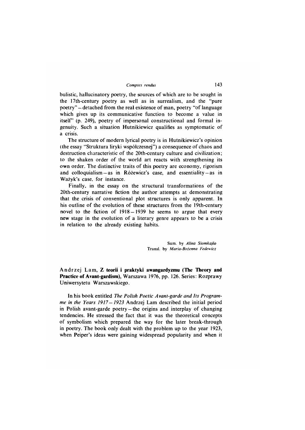bulistic, hallucinatory poetry, the sources of which are to be sought in the 17th-century poetry as well as in surrealism, and the "pure poetry" — detached from the real existence of man, poetry "of language which gives up its communicative function to become a value in itself' (p. 249), poetry of impersonal constructional and formal ingenuity. Such a situation Hutnikiewicz qualifies as symptomatic of a crisis.

The structure of modern lyrical poetry is in Hutnikiewicz's opinion (the essay "Struktura liryki współczesnej") a consequence of chaos and destruction characteristic of the 20th-century culture and civilization; to the shaken order of the world art reacts with strengthening its own order. The distinctive traits of this poetry are economy, rigorism and colloquialism  $-\text{as}$  in Różewicz's case, and essentiality  $-\text{as}$  in Ważyk's case, for instance.

Finally, in the essay on the structural transformations of the 20th-century narrative fiction the author attempts at demonstrating that the crisis of conventional plot structures is only apparent. In his outline of the evolution of these structures from the 19th-century novel to the fiction of 1918—1939 he seems to argue that every new stage in the evolution of a literary genre appears to be a crisis in relation to the already existing habits.

> Sum. by *Alina Siomkajlo* Transl. by *Maria-Bożenna Fedewicz*

Andrzej Lam, Z teorii i praktyki awangardyzmu (The Theory and **Practice of Avant-gardism),** Warszawa 1976, pp. 126. Series: Rozprawy Uniwersytetu Warszawskiego.

In his book entitled *The Polish Poetic Avant-garde and Its Programme in the Years 1917—1923* Andrzej Lam described the initial period in Polish avant-garde poetry —the origins and interplay of changing tendencies. He stressed the fact that it was the theoretical concepts of symbolism which prepared the way for the later break-through in poetry. The book only dealt with the problem up to the year 1923, when Peiper's ideas were gaining widespread popularity and when it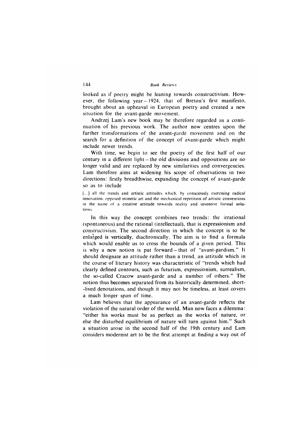looked as if poetry might be leaning towards constructivism. However, the following year—1924. that of Breton's first manifesto, brought about an upheaval in European poetry and created a new situation for the avant-garde movement.

Andrzej Lam's new book may be therefore regarded as a continuation of his previous work. The author now centres upon the further transformations of the avant-garde movement and on the search for a definition of the concept of avant-garde which might include newer trends.

With time, we begin to see the poetry of the first half of our century in a different light —the old divisions and oppositions are no longer valid and are replaced by new similarities and convergencies. Lam therefore aims at widening his scope of observations in two directions: firstly breadthwise, expanding the concept of avant-garde so as to include

(...] all the trends and artistic attitudes which, by consciously exercising radical innovation, opposed mimetic art and the mechanical repetition of artistic conventions in the name of a creative attitude towards reality and inventive formal solutions.

In this way the concept combines two trends: the irrational (spontaneous) and the rational (intellectual), that is expressionism and constructivism. The second direction in which the concept is to be enlarged is vertically, diachronically. The aim is to find a formula which would enable us to cross the bounds of a given period. This is why a new notion is put forward —that of "avant-gardism." It should designate an attitude rather than a trend, an attitude which in the course of literary history was characteristic of "trends which had clearly defined contours, such as futurism, expressionism, surrealism, the so-called Cracow avant-garde and a number of others." The notion thus becomes separated from its historically determined, short- -lived denotations, and though it may not be timeless, at least covers a much longer span of time.

Lam believes that the appearance of an avant-garde reflects the violation of the natural order of the world. Man now faces a dilemma: "either his works must be as perfect as the works of nature, or else the disturbed equilibrium of nature will turn against him." Such a situation arose in the second half of the 19th century and Lam considers modernist art to be the first attempt at finding a way out of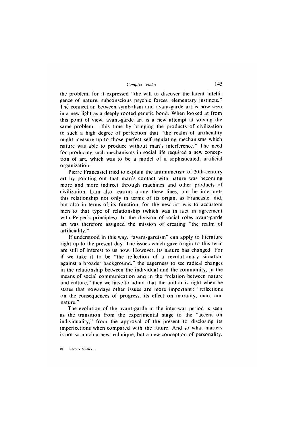the problem, for it expressed "the will to discover the latent intelligence of nature, subconscious psychic forces, elementary instincts." The connection between symbolism and avant-garde art is now seen in a new light as a deeply rooted genetic bond. When looked at from this point of view, avant-garde art is a new attempt at solving the same problem  $-$  this time by bringing the products of civilization to such a high degree of perfection that "the realm of artificiality might measure up to those perfect self-regulating mechanisms which nature was able to produce without man's interference." The need for producing such mechanisms in social life required a new conception of art, which was to be a model of a sophisticated, artificial organization.

Pierre Francastel tried to explain the antimimetism of 20th-century art by pointing out that man's contact with nature was becoming more and more indirect through machines and other products of civilization. Lam also reasons along these lines, but he interprets this relationship not only in terms of its origin, as Francastel did, but also in terms of. its function, for the new art was to accustom men to that type of relationship (which was in fact in agreement with Peiper's principles). In the division of social roles avant-garde art was therefore assigned the mission of creating "the realm of artificiality."

If understood in this way, "avant-gardism" can apply to literature right up to the present day. The issues which gave origin to this term are still of interest to us now. However, its nature has changed. For if we take it to be "the reflection of a revolutionary situation against a broader background," the eagerness to see radical changes in the relationship between the individual and the community, in the means of social communication and in the "relation between nature and culture," then we have to admit that the author is right when he states that nowadays other issues are more important: "reflections on the consequences of progress, its effect on morality, man, and nature."

The evolution of the avant-garde in the inter-war period is seen as the transition from the experimental stage to the "accent on individuality," from the approval of the present to disclosing its imperfections when compared with the future. And so what matters is not so much a new technique, but a new conception of personality.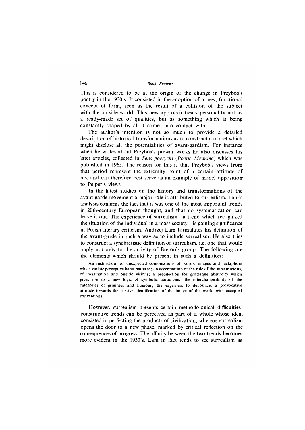This is considered to be at the origin of the change in Przybos's poetry in the 1930's. It consisted in the adoption of a new, functional concept of form, seen as the result of a collision of the subject with the outside world. This new approach treats personality not as a ready-made set of qualities, but as something which is being constantly shaped by all it comes into contact with.

The author's intention is not so much to provide a detailed description of historical transformations as to construct a model which might disclose all the potentialities of avant-gardism. For instance when he writes about Przybos's prewar works he also discusses his later articles, collected in *Sens poetycki (Poetic Meaning*) which was published in 1963. The reason for this is that Przybos's views from that period represent the extremity point of a certain attitude of his, and can therefore best serve as an example of model opposition to Peiper's views.

In the latest studies on the history and transformations of the avant-garde movement a major role is attributed to surrealism. Lam's analysis confirms the fact that it was one of the most important trends in 20th-century European thought, and that no systematization can leave it out. The experience of surrealism —a trend which recognized the situation of the individual in a mass society  $-$  is gaining significance in Polish literary criticism. Andrzej Lam formulates his definition of the avant-garde in such a way as to include surrealism. He also tries to construct a synchretistic definition of surrealism, i.e. one that would apply not only to the activity of Breton's group. The following are the elements which should be present in such a definition:

An inclination for unexpected combinations of words, images and metaphors which violate perceptive habit patterns; an accentuation of the role of the subconscious, of imagination and oneiric visions; a predilection for grotesque absurdity which gives rise to a new logic of symbolic paradigms; the interchangeability of the categories of grimness and humour; the eagerness to denounce, a provocative attitude towards the passive identification of the image of the world with accepted conventions.

However, surrealism presents certain methodological difficulties: constructive trends can be perceived as part of a whole whose ideal consisted in perfecting the products of civilization, whereas surrealism opens the door to a new phase, marked by critical reflection on the consequences of progress. The affinity between the two trends becomes more evident in the 1930's. Lam in fact tends to see surrealism as